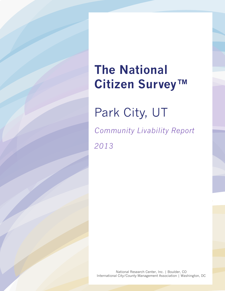# **The National Citizen Survey™**

Park City, UT

*Community Livability Report 2013*

National Research Center, Inc. | Boulder, CO International City/County Management Association | Washington, DC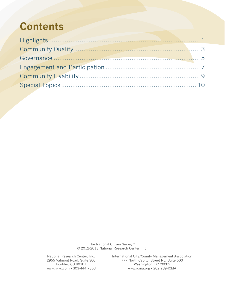## **Contents**

The National Citizen Survey™ © 2012-2013 National Research Center, Inc.

National Research Center, Inc. International City/County Management Association 2955 Valmont Road, Suite 300 777 North Capitol Street NE, Suite 500 Boulder, CO 80301 Washington, DC 20002<br>www.n.r.c.com • 303.444.7863 www.icma.org • 202.289.IC www.icma.org • 202-289-ICMA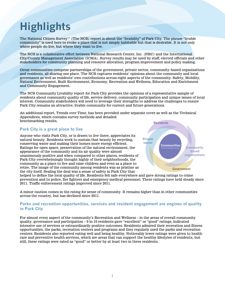# <span id="page-2-0"></span>**Highlights**

The National Citizen Survey™ (The NCS) report is about the "livability" of Park City. The phrase "livable community" is used here to evoke a place that is not simply habitable but that is desirable. It is not only where people do live, but where they want to live.

The NCS is a collaborative effort between National Research Center, Inc. (NRC) and the International City/County Management Association (ICMA). Survey results may be used by staff, elected officials and other stakeholders for community planning and resource allocation, program improvement and policy making.

Great communities comprise partnerships of the government, private sector, community-based organizations and residents, all sharing one place. The NCS captures residents' opinions about the community and local governance as well as residents' own contributions across eight aspects of the community: Safety, Mobility, Natural Environment, Built Environment, Economy, Recreation and Wellness, Education and Enrichment and Community Engagement.

The NCS Community Livability report for Park City provides the opinions of a representative sample of residents about community quality of life, service delivery, community participation and unique issues of local interest. Community stakeholders will need to leverage their strengths to address the challenges to ensure Park City remains an attractive, livable community for current and future generations.

An additional report, Trends over Time, has been provided under separate cover as well as the Technical Appendices, which contains survey methods and detailed benchmarking results.

### **Park City is a great place to live**

Anyone who visits Park City, or is drawn to live there, appreciates its natural beauty. Residents work to sustain that beauty by recycling, conserving water and making their homes more energy efficient. Ratings for open space, preservation of the natural environment, the appearance of the community and its air quality were almost unanimously positive and when compared to other places, residents of Park City overwhelmingly thought highly of their neighborhoods, the community as a place to live and raise children and even as a place to retire. The image of the community among residents was as pristine as the city itself. Sealing the deal was a sense of safety in Park City that



helped to define the local quality of life. Residents felt safe everywhere and gave strong ratings to crime prevention and to police, fire fighters and emergency medical personnel. These ratings have held steady since 2011. Traffic enforcement ratings improved since 2011.

A minor caution comes in the rating for sense of community. It remains higher than in other communities across the country, but has declined since 2011.

### **Parks and recreation opportunities, services and resident engagement are engines of quality in Park City**

For almost every aspect of the community's Recreation and Wellness – in the areas of overall community quality, governance and participation – 9 in 10 residents gave "excellent" or "good" ratings, indicated intensive use of services or extraordinarily positive outcomes. Residents admired their recreation and fitness opportunities, the parks, recreation centers and programs and they regularly used the parks and recreation centers. Residents also reported eating well and being healthy. Noticeably lower ratings were given to health care and preventive health services, which are areas that can support the healthy lifestyles of residents, but still, these ratings were rated as "good" or better by at least two in three residents.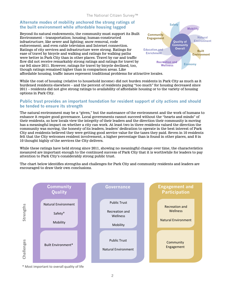### **Alternate modes of mobility anchored the strong ratings of the built environment while affordable housing lagged**

Beyond its natural endowments, the community must support its Built Environment – transportation; housing; human-constructed infrastructure, like sewer and lighting; snow removal, code enforcement; and even cable television and Internet connection. Ratings of city services and infrastructure were strong. Ratings for ease of travel by bicycle and walking and ratings for walking paths were better in Park City than in other places. Travel by car and traffic flow did not receive remarkably strong ratings and ratings for travel by car fell since 2011. However, ratings for travel by bicycle declined, too, though ratings remained higher than in comparison areas. Like affordable housing, traffic issues represent traditional problems for attractive locales.



While the cost of housing (relative to household income) did not burden residents in Park City as much as it burdened residents elsewhere – and the percent of residents paying "too much" for housing decreased since 2011 – residents did not give strong ratings to availability of affordable housing or to the variety of housing options in Park City.

### **Public trust provides an important foundation for resident support of city actions and should be tended to ensure its strength**

The natural environment may be a "given," but the sustenance of the environment and the work of humans to enhance it require good governance. Local governments cannot succeed without the "hearts and minds" of their residents, so how locals view the integrity of their leaders and the direction their community is moving has a meaningful impact on whether a city can work. At least two in three residents valued the direction the community was moving, the honesty of its leaders, leaders' dedication to operate in the best interest of Park City and residents believed they were getting good service value for the taxes they paid. Seven in 10 residents felt that the City welcomes resident involvement, a higher percentage than is found in other places, and 8 in 10 thought highly of the services the City delivers.

While these ratings have held strong since 2011, showing no meaningful change over time, the characteristics measured are important enough to the continued success of Park City that it is worthwhile for leaders to pay attention to Park City's considerably strong public trust.

The chart below identifies strengths and challenges for Park City and community residents and leaders are encouraged to draw their own conclusions.



\* Most important to overall quality of life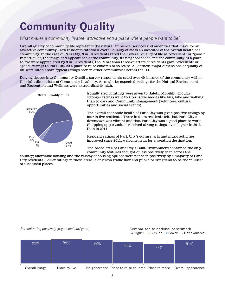## <span id="page-4-0"></span>**Community Quality**

### *What makes a community livable, attractive and a place where people want to be?*

Overall quality of community life represents the natural ambience, services and amenities that make for an attractive community. How residents rate their overall quality of life is an indicator of the overall health of a community. In the case of Park City, 9 in 10 residents rated their overall quality of life as "excellent" or "good." In particular, the image and appearance of the community, its neighborhoods and the community as a place to live were appreciated by 9 in 10 residents, too. More than three-quarters of residents gave "excellent" or "good" ratings to Park City as a place to raise children or to retire. All of these major dimensions of quality of life were rated above typical ratings seen in other communities across the U.S.

Delving deeper into Community Quality, survey respondents rated over 40 features of the community within the eight dimensions of Community Livability. As might be expected, ratings for the Natural Environment and Recreation and Wellness were extraordinarily high.



Equally strong ratings were given to Safety, Mobility (though stronger ratings went to alternative modes like bus, bike and walking than to car) and Community Engagement (volunteer, cultural opportunities and social events).

The overall economic health of Park City was given positive ratings by four in five residents. Three in fours residents felt that Park City's downtown was vibrant and that Park City was a good place to work. Shopping opportunities received strong ratings, even higher in 2013 than in 2011.

Resident ratings of Park City's culture, arts and music activities improved since 2011; welcome news for a vacation destination.

The broad area of Park City's Built Environment contained the only community features thought of less positively than across the

country; affordable housing and the variety of housing options were not seen positively by a majority of Park City residents. Lower ratings in these areas, along with traffic flow and public parking tend to be the "curses" of successful places.

### *Percent rating positively (e.g., excellent/good)* Comparison to national benchmark

## Higher Similar Lower Not available

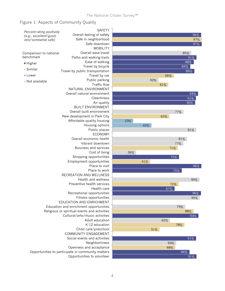### Figure 1: Aspects of Community Quality

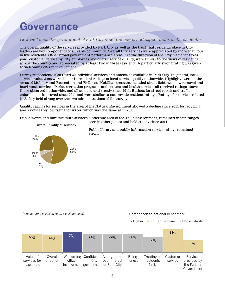## <span id="page-6-0"></span>**Governance**

### *How well does the government of Park City meet the needs and expectations of its residents?*

The overall quality of the services provided by Park City as well as the trust that residents place in City leaders are key components of a livable community. Overall City services were appreciated by more than four in five residents. Other broad government performance areas, like the direction of the City, value for taxes paid, customer service by City employees and overall service quality, were similar to the views of residents across the country and appreciated by at least two in three residents. A particularly strong rating was given to welcoming citizen involvement.

Survey respondents also rated 30 individual services and amenities available in Park City. In general, local service evaluations were similar to resident ratings of local service quality nationwide. Highlights were in the areas of Mobility and Recreation and Wellness. Mobility strengths included street lighting, snow removal and bus/transit services. Parks, recreation programs and centers and health services all received ratings above those observed nationwide, and all at least held steady since 2011. Ratings for street repair and traffic enforcement improved since 2011 and were similar to nationwide resident ratings. Ratings for services related to Safety held strong over the two administrations of the survey.

Quality ratings for services in the area of the Natural Environment showed a decline since 2011 for recycling and a noticeably low rating for water, which was the same as in 2011.

Public works and infrastructure services, under the area of the Built Environment, remained within ranges seen in other places and held steady since 2011.



**Overall quality of services**

Public library and public information service ratings remained strong.

*Percent rating positively (e.g., excellent/good)* Comparison to national benchmark

 $\blacksquare$  Higher  $\blacksquare$  Similar  $\blacksquare$  Lower  $\blacksquare$  Not available

|                          |                      |         |         |                                                     |                 |                           | 83%                 |                                |
|--------------------------|----------------------|---------|---------|-----------------------------------------------------|-----------------|---------------------------|---------------------|--------------------------------|
| 66%                      | 64%                  | 73%     | 66%     | 66%                                                 | 66%             |                           |                     |                                |
|                          |                      |         |         |                                                     |                 | 56%                       |                     | 43%                            |
|                          |                      |         |         |                                                     |                 |                           |                     |                                |
|                          |                      |         |         |                                                     |                 |                           |                     |                                |
| Value of<br>services for | Overall<br>direction | citizen | in City | Welcoming Confidence Acting in the<br>best interest | Being<br>honest | Treating all<br>residents | Customer<br>service | <b>Services</b><br>provided by |
| taxes paid               |                      |         |         | involvement government of Park City                 |                 | fairly                    |                     | the Federal                    |
|                          |                      |         |         |                                                     |                 |                           |                     | Government                     |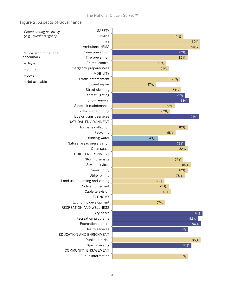### Figure 2: Aspects of Governance

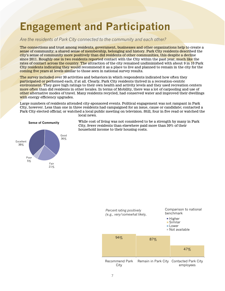## <span id="page-8-0"></span>**Engagement and Participation**

### *Are the residents of Park City connected to the community and each other?*

The connections and trust among residents, government, businesses and other organizations help to create a sense of community; a shared sense of membership, belonging and history. Park City residents described the city's sense of community more positively than did residents of other communities, this despite a decline since 2011. Roughly one in two residents reported contact with the City within the past year, much like the rates of contact across the country. The attraction of the city remained undiminished with about 9 in 10 Park City residents indicating they would recommend it as a place to live and planned to remain in the city for the coming five years at levels similar to those seen in national survey results.

The survey included over 30 activities and behaviors in which respondents indicated how often they participated or performed each, if at all. Clearly, Park City residents thrived in a recreation-centric environment. They gave high ratings to their own health and activity levels and they used recreation centers more often than did residents in other locales. In terms of Mobility, there was a lot of carpooling and use of other alternative modes of travel. Many residents recycled, had conserved water and improved their dwellings with energy efficiency upgrades.

Large numbers of residents attended city-sponsored events. Political engagement was not rampant in Park City, however. Less than one in three residents had campaigned for an issue, cause or candidate; contacted a Park City elected official; or watched a local public meeting on television. Still, four in five read or watched the local news.

![](_page_8_Figure_5.jpeg)

While cost of living was not considered to be a strength by many in Park City, fewer residents than elsewhere paid more than 30% of their household income to their housing costs.

![](_page_8_Figure_7.jpeg)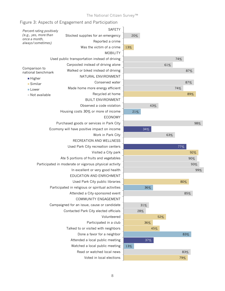### The National Citizen Survey™

| Percent rating positively           | <b>SAFETY</b>                                          |     |     |     |     |
|-------------------------------------|--------------------------------------------------------|-----|-----|-----|-----|
| (e.g., yes, more than               | Stocked supplies for an emergency                      |     | 20% |     |     |
| once a month,<br>always/sometimes)  | Reported a crime                                       |     |     |     |     |
|                                     | Was the victim of a crime                              | 13% |     |     |     |
|                                     | <b>MOBILITY</b>                                        |     |     |     |     |
|                                     | Used public transportation instead of driving          |     |     |     |     |
|                                     | Carpooled instead of driving alone                     |     |     |     |     |
| Comparison to<br>national benchmark | Walked or biked instead of driving                     |     |     |     |     |
| ■ Higher                            | NATURAL ENVIRONMENT                                    |     |     |     |     |
| ■ Similar                           | Conserved water                                        |     |     |     |     |
| ■ Lower                             | Made home more energy efficient                        |     |     |     |     |
| Not available                       | Recycled at home                                       |     |     |     |     |
|                                     | <b>BUILT ENVIRONMENT</b>                               |     |     |     |     |
|                                     | Observed a code violation                              |     |     |     | 43% |
|                                     | Housing costs 30% or more of income                    |     | 21% |     |     |
|                                     | <b>ECONOMY</b>                                         |     |     |     |     |
|                                     | Purchased goods or services in Park City               |     |     |     |     |
|                                     | Ecomony will have positive impact on income            |     |     | 34% |     |
|                                     | Work in Park City                                      |     |     |     |     |
|                                     | RECREATION AND WELLNESS                                |     |     |     |     |
|                                     | Used Park City recreation centers                      |     |     |     |     |
|                                     | Visited a City park                                    |     |     |     |     |
|                                     | Ate 5 portions of fruits and vegetables                |     |     |     |     |
|                                     | Participated in moderate or vigorous physical activity |     |     |     |     |
|                                     | In excellent or very good health                       |     |     |     |     |
|                                     | EDUCATION AND ENRICHMENT                               |     |     |     |     |
|                                     | Used Park City public libraries                        |     |     |     |     |
|                                     | Participated in religious or spiritual activities      |     |     | 36% |     |
|                                     | Attended a City-sponsored event                        |     |     |     |     |
|                                     | COMMUNITY ENGAGEMENT                                   |     |     |     |     |
|                                     | Campaigned for an issue, cause or candidate            |     |     | 31% |     |
|                                     | Contacted Park City elected officials                  |     | 28% |     |     |
|                                     | Volunteered                                            |     |     |     |     |
|                                     | Participated in a club                                 |     |     | 36% |     |
|                                     | Talked to or visited with neighbors                    |     |     |     | 45% |
|                                     | Done a favor for a neighbor                            |     |     |     |     |
|                                     | Attended a local public meeting                        |     |     | 37% |     |
|                                     | 13%                                                    |     |     |     |     |
|                                     | Read or watched local news                             |     |     |     |     |
|                                     | Voted in local elections                               |     |     |     |     |

77%

63%

92%

98%

99% 93% 90%

89%

87%

87%

74%

74%

61%

80%

85%

79%

83%

83%

52%

### Figure 3: Aspects of Engagement and Participation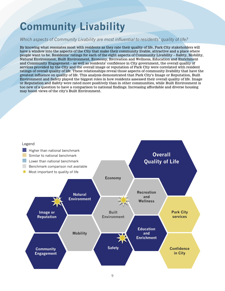## <span id="page-10-0"></span>**Community Livability**

### *Which aspects of Community Livability are most influential to residents' quality of life?*

By knowing what resonates most with residents as they rate their quality of life, Park City stakeholders will have a window into the aspects of the City that make their community livable, attractive and a place where people want to be. Residents' ratings for each of the eight aspects of Community Livability – Safety, Mobility, Natural Environment, Built Environment, Economy, Recreation and Wellness, Education and Enrichment and Community Engagement – as well as residents' confidence in City government, the overall quality of services provided by the City and the overall image or reputation of Park City were correlated with resident ratings of overall quality of life. These relationships reveal those aspects of community livability that have the greatest influence on quality of life. This analysis demonstrated that Park City's Image or Reputation, Built Environment and Safety played the biggest roles in how residents assessed their overall quality of life. Image or Reputation and Safety were rated more positively than in other communities, while Built Environment is too new of a question to have a comparison to national findings. Increasing affordable and diverse housing may boost views of the city's Built Environment.

![](_page_10_Figure_3.jpeg)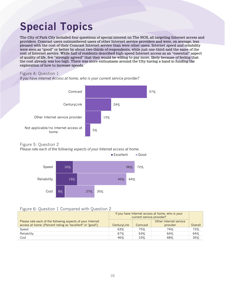## <span id="page-11-0"></span>**Special Topics**

The City of Park City included four questions of special interest on The NCS, all targeting Internet access and providers. Comcast users outnumbered users of other Internet service providers and were, on average, less pleased with the cost of their Comcast Internet service than were other users. Internet speed and reliability were seen as "good" or better by about two-thirds of respondents, while just one-third said the same of the cost of Internet service. While half of residents described high-speed Internet access as an "essential" aspect of quality of life, few "strongly agreed" that they would be willing to pay more, likely because of feeling that the cost already was too high. There was more enthusiasm around the City having a hand in funding the exploration of how to increase speeds.

### Figure 4: Question 1

*If you have Internet Access at home, who is your current service provider?*

![](_page_11_Figure_4.jpeg)

### Figure 5: Question 2

*Please rate each of the following aspects of your Internet access at home.*

![](_page_11_Figure_7.jpeg)

### Figure 6: Question 1 Compared with Question 2

|                                                            | If you have Internet access at home, who is your<br>current service provider? |         |                        |         |  |
|------------------------------------------------------------|-------------------------------------------------------------------------------|---------|------------------------|---------|--|
| Please rate each of the following aspects of your Internet |                                                                               |         | Other Internet service |         |  |
| access at home: (Percent rating as "excellent" or "good"). | CenturyLink                                                                   | Comcast | provider               | Overall |  |
| Speed                                                      | 63%                                                                           | 75%     | 74%                    | 72%     |  |
| Reliability                                                | 67%                                                                           | 63%     | 64%                    | 64%     |  |
| Cost                                                       | 46%                                                                           | 23%     | 68%                    | 35%     |  |